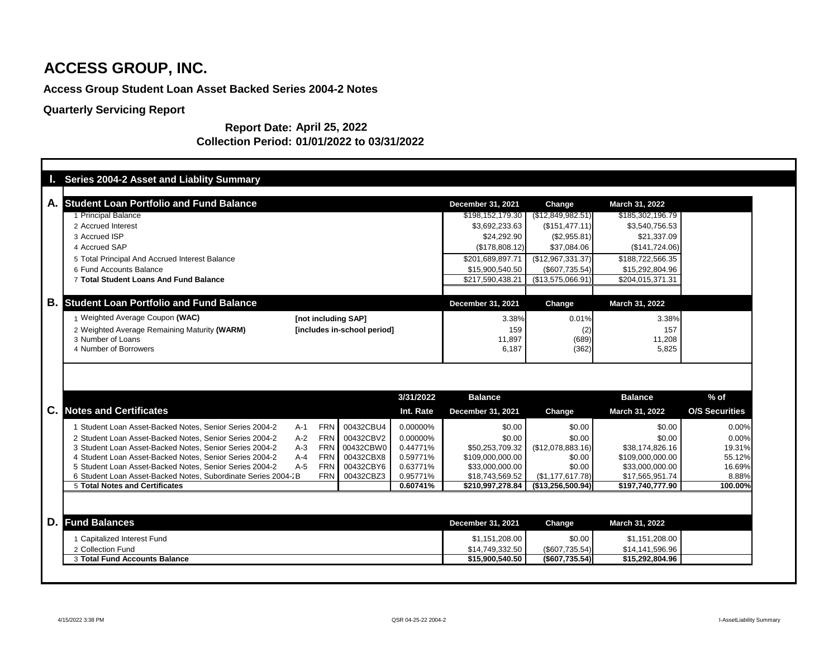# **Access Group Student Loan Asset Backed Series 2004-2 Notes**

# **Quarterly Servicing Report**

| <b>Series 2004-2 Asset and Liablity Summary</b>               |       |                             |           |                                              |                                    |                                    |                       |
|---------------------------------------------------------------|-------|-----------------------------|-----------|----------------------------------------------|------------------------------------|------------------------------------|-----------------------|
| <b>Student Loan Portfolio and Fund Balance</b><br>А.          |       |                             |           |                                              |                                    |                                    |                       |
| 1 Principal Balance                                           |       |                             |           | <b>December 31, 2021</b><br>\$198,152,179.30 | <b>Change</b><br>(\$12,849,982.51) | March 31, 2022<br>\$185,302,196.79 |                       |
| 2 Accrued Interest                                            |       |                             |           | \$3,692,233.63                               | (\$151,477.11)                     | \$3,540,756.53                     |                       |
| 3 Accrued ISP                                                 |       |                             |           | \$24,292.90                                  | (\$2,955.81)                       | \$21,337.09                        |                       |
| 4 Accrued SAP                                                 |       |                             |           | (\$178,808.12)                               | \$37,084.06                        | (\$141,724.06)                     |                       |
| 5 Total Principal And Accrued Interest Balance                |       |                             |           | \$201,689,897.71                             | $(\$12,967,331.37)$                | \$188,722,566.35                   |                       |
| 6 Fund Accounts Balance                                       |       |                             |           | \$15,900,540.50                              | $(\$607,735.54)$                   | \$15,292,804.96                    |                       |
| 7 Total Student Loans And Fund Balance                        |       |                             |           | \$217,590,438.21                             | (\$13,575,066.91)                  | \$204,015,371.31                   |                       |
|                                                               |       |                             |           |                                              |                                    |                                    |                       |
| В.<br><b>Student Loan Portfolio and Fund Balance</b>          |       |                             |           | <b>December 31, 2021</b>                     | Change                             | <b>March 31, 2022</b>              |                       |
| Weighted Average Coupon (WAC)                                 |       | [not including SAP]         |           | 3.38%                                        | 0.01%                              | 3.38%                              |                       |
| 2 Weighted Average Remaining Maturity (WARM)                  |       | [includes in-school period] |           | 159                                          | (2)                                | 157                                |                       |
| 3 Number of Loans                                             |       |                             |           |                                              |                                    |                                    |                       |
|                                                               |       |                             |           | 11,897                                       |                                    | 11,208                             |                       |
| 4 Number of Borrowers                                         |       |                             |           | 6,187                                        | (689)<br>(362)                     | 5,825                              |                       |
|                                                               |       |                             | 3/31/2022 | <b>Balance</b>                               |                                    | <b>Balance</b>                     | $%$ of                |
| <b>Notes and Certificates</b>                                 |       |                             | Int. Rate | <b>December 31, 2021</b>                     | <b>Change</b>                      | <b>March 31, 2022</b>              | <b>O/S Securities</b> |
| Student Loan Asset-Backed Notes, Senior Series 2004-2         | $A-1$ | 00432CBU4<br><b>FRN</b>     | 0.00000%  | \$0.00                                       | \$0.00                             | \$0.00                             | 0.00%                 |
| 2 Student Loan Asset-Backed Notes, Senior Series 2004-2       | $A-2$ | <b>FRN</b><br>00432CBV2     | 0.00000%  | \$0.00                                       | \$0.00                             | \$0.00                             | 0.00%                 |
| C.<br>3 Student Loan Asset-Backed Notes, Senior Series 2004-2 | $A-3$ | 00432CBW0<br><b>FRN</b>     | 0.44771%  | \$50,253,709.32                              | (\$12,078,883.16)                  | \$38,174,826.16                    | 19.31%                |
| 4 Student Loan Asset-Backed Notes, Senior Series 2004-2       | $A-4$ | 00432CBX8<br><b>FRN</b>     | 0.59771%  | \$109,000,000.00                             | \$0.00                             | \$109,000,000.00                   | 55.12%                |
| 5 Student Loan Asset-Backed Notes, Senior Series 2004-2       | $A-5$ | <b>FRN</b><br>00432CBY6     | 0.63771%  | \$33,000,000.00                              | \$0.00                             | \$33,000,000.00                    | 16.69%                |
| 6 Student Loan Asset-Backed Notes, Subordinate Series 2004-2B |       | FRN   00432CBZ3             | 0.95771%  | \$18,743,569.52                              | (\$1,177,617.78)                   | \$17,565,951.74                    | 8.88%                 |
| <b>5 Total Notes and Certificates</b>                         |       |                             | 0.60741%  | \$210,997,278.84                             | (\$13,256,500.94)                  | \$197,740,777.90                   | 100.00%               |
|                                                               |       |                             |           |                                              |                                    |                                    |                       |
| D.<br><b>Fund Balances</b>                                    |       |                             |           | <b>December 31, 2021</b>                     | Change                             | <b>March 31, 2022</b>              |                       |
| 1 Capitalized Interest Fund                                   |       |                             |           | \$1,151,208.00                               | \$0.00                             | \$1,151,208.00                     |                       |
| 2 Collection Fund<br>3 Total Fund Accounts Balance            |       |                             |           | \$14,749,332.50<br>\$15,900,540.50           | $(\$607,735.54)$<br>(\$607,735.54) | \$14,141,596.96<br>\$15,292,804.96 |                       |

### **Report Date: April 25, 2022 Collection Period: 01/01/2022 to 03/31/2022**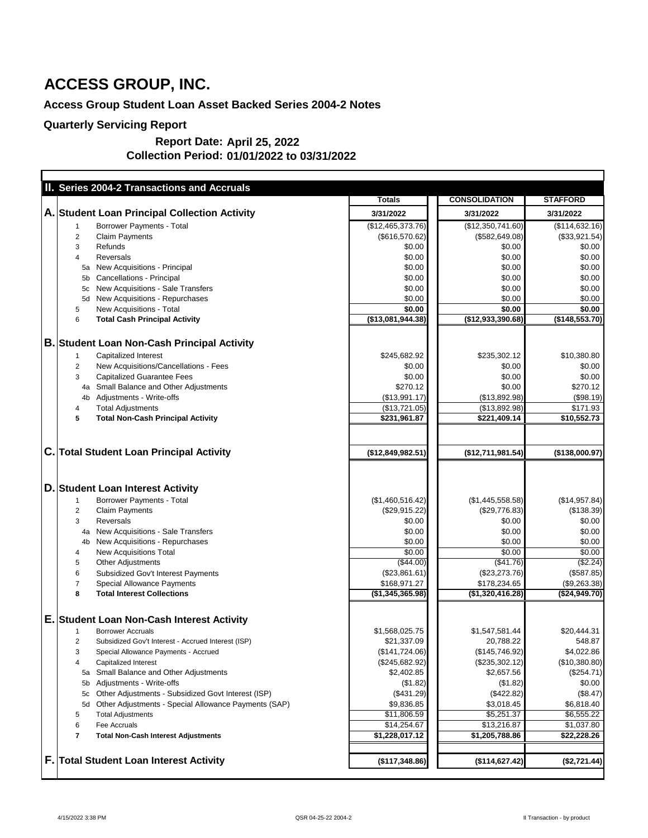# **Access Group Student Loan Asset Backed Series 2004-2 Notes**

|    | II. Series 2004-2 Transactions and Accruals                |                   |                      |                 |
|----|------------------------------------------------------------|-------------------|----------------------|-----------------|
|    |                                                            | <b>Totals</b>     | <b>CONSOLIDATION</b> | <b>STAFFORD</b> |
|    | A. Student Loan Principal Collection Activity              | 3/31/2022         | 3/31/2022            | 3/31/2022       |
|    | <b>Borrower Payments - Total</b>                           | (\$12,465,373.76) | (\$12,350,741.60)    | (\$114,632.16)  |
|    | <b>Claim Payments</b><br>2                                 | (\$616,570.62)    | (\$582, 649.08)      | (\$33,921.54)   |
|    | 3<br>Refunds                                               | \$0.00            | \$0.00               | \$0.00          |
|    | <b>Reversals</b><br>4                                      | \$0.00            | \$0.00               | \$0.00          |
|    | New Acquisitions - Principal<br>5a                         | \$0.00            | \$0.00               | \$0.00          |
|    | <b>Cancellations - Principal</b>                           | \$0.00            | \$0.00               | \$0.00          |
|    | New Acquisitions - Sale Transfers<br>5c                    | \$0.00            | \$0.00               | \$0.00          |
|    | New Acquisitions - Repurchases<br>5d                       | \$0.00            | \$0.00               | \$0.00          |
|    | New Acquisitions - Total<br>5                              | \$0.00            | \$0.00               | \$0.00          |
|    | <b>Total Cash Principal Activity</b><br>6                  | (\$13,081,944.38) | (\$12,933,390.68)    | (\$148,553.70)  |
|    |                                                            |                   |                      |                 |
|    | <b>B. Student Loan Non-Cash Principal Activity</b>         |                   |                      |                 |
|    | <b>Capitalized Interest</b>                                | \$245,682.92      | \$235,302.12         | \$10,380.80     |
|    | New Acquisitions/Cancellations - Fees<br>$\overline{2}$    | \$0.00            | \$0.00               | \$0.00          |
|    | <b>Capitalized Guarantee Fees</b><br>3                     | \$0.00            | \$0.00               | \$0.00          |
|    | Small Balance and Other Adjustments<br>4a                  | \$270.12          | \$0.00               | \$270.12        |
|    | Adjustments - Write-offs<br>4b                             | (\$13,991.17)     | (\$13,892.98)        | (\$98.19)       |
|    | <b>Total Adjustments</b><br>4                              | (\$13,721.05)     | (\$13,892.98)        | \$171.93        |
|    | <b>Total Non-Cash Principal Activity</b><br>5              | \$231,961.87      | \$221,409.14         | \$10,552.73     |
|    |                                                            |                   |                      |                 |
| C. | <b>Total Student Loan Principal Activity</b>               | (\$12,849,982.51) | (\$12,711,981.54)    | (\$138,000.97)  |
|    | D. Student Loan Interest Activity                          |                   |                      |                 |
|    | <b>Borrower Payments - Total</b>                           | (\$1,460,516.42)  | (\$1,445,558.58)     | (\$14,957.84)   |
|    | $\overline{2}$<br><b>Claim Payments</b>                    | (\$29,915.22)     | (\$29,776.83)        | (\$138.39)      |
|    | <b>Reversals</b><br>3                                      | \$0.00            | \$0.00               | \$0.00          |
|    | New Acquisitions - Sale Transfers<br>4a                    | \$0.00            | \$0.00               | \$0.00          |
|    | New Acquisitions - Repurchases<br>4 <sub>b</sub>           | \$0.00            | \$0.00               | \$0.00          |
|    | <b>New Acquisitions Total</b><br>4                         | \$0.00            | \$0.00               | \$0.00          |
|    | <b>Other Adjustments</b><br>5                              | (\$44.00)         | (\$41.76)            | (\$2.24)        |
|    | 6<br><b>Subsidized Gov't Interest Payments</b>             | (\$23,861.61)     | (\$23,273.76)        | (\$587.85)      |
|    | <b>Special Allowance Payments</b><br>7                     | \$168,971.27      | \$178,234.65         | (\$9,263.38)    |
|    | <b>Total Interest Collections</b><br>8                     | (\$1,345,365.98)  | (\$1,320,416.28)     | (\$24,949.70)   |
|    |                                                            |                   |                      |                 |
|    | E. Student Loan Non-Cash Interest Activity                 |                   |                      |                 |
|    | <b>Borrower Accruals</b>                                   | \$1,568,025.75    | \$1,547,581.44       | \$20,444.31     |
|    | Subsidized Gov't Interest - Accrued Interest (ISP)<br>2    | \$21,337.09       | 20,788.22            | 548.87          |
|    | Special Allowance Payments - Accrued<br>3                  | (\$141,724.06)    | (\$145,746.92)       | \$4,022.86      |
|    | Capitalized Interest<br>4                                  | (\$245,682.92)    | $(\$235,302.12)$     | (\$10,380.80)   |
|    | Small Balance and Other Adjustments<br>5a                  | \$2,402.85        | \$2,657.56           | (\$254.71)      |
|    | Adjustments - Write-offs<br>5b                             | (\$1.82)          | (\$1.82)             | \$0.00          |
|    | Other Adjustments - Subsidized Govt Interest (ISP)<br>5c   | (\$431.29)        | (\$422.82)           | (\$8.47)        |
|    | Other Adjustments - Special Allowance Payments (SAP)<br>5d | \$9,836.85        | \$3,018.45           | \$6,818.40      |
|    | 5<br><b>Total Adjustments</b>                              | \$11,806.59       | \$5,251.37           | \$6,555.22      |
|    | 6<br>Fee Accruals                                          | \$14,254.67       | \$13,216.87          | \$1,037.80      |
|    | 7<br><b>Total Non-Cash Interest Adjustments</b>            | \$1,228,017.12    | \$1,205,788.86       | \$22,228.26     |
|    |                                                            |                   |                      |                 |
|    | <b>F. Total Student Loan Interest Activity</b>             | (\$117,348.86)    | (\$114,627.42)       | (\$2,721.44)    |

#### **April 25, 2022 Report Date: Collection Period: 01/01/2022 to 03/31/2022**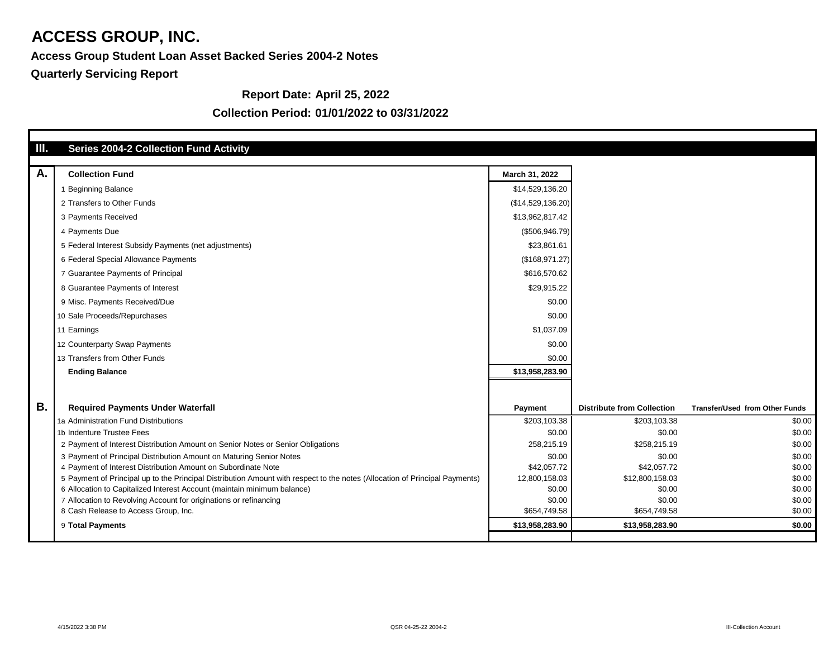# **Access Group Student Loan Asset Backed Series 2004-2 Notes**

# **Report Date: April 25, 2022**

## **Collection Period: 01/01/2022 to 03/31/2022**

| Ш.        | <b>Series 2004-2 Collection Fund Activity</b>                                                                               |                        |                                   |                                       |
|-----------|-----------------------------------------------------------------------------------------------------------------------------|------------------------|-----------------------------------|---------------------------------------|
| A.        | <b>Collection Fund</b>                                                                                                      | March 31, 2022         |                                   |                                       |
|           | <b>Beginning Balance</b>                                                                                                    | \$14,529,136.20        |                                   |                                       |
|           | 2 Transfers to Other Funds                                                                                                  | (\$14,529,136.20)      |                                   |                                       |
|           | 3 Payments Received                                                                                                         | \$13,962,817.42        |                                   |                                       |
|           | 4 Payments Due                                                                                                              | (\$506,946.79)         |                                   |                                       |
|           | 5 Federal Interest Subsidy Payments (net adjustments)                                                                       | \$23,861.61            |                                   |                                       |
|           | 6 Federal Special Allowance Payments                                                                                        | (\$168,971.27)         |                                   |                                       |
|           | 7 Guarantee Payments of Principal                                                                                           | \$616,570.62           |                                   |                                       |
|           | 8 Guarantee Payments of Interest                                                                                            | \$29,915.22            |                                   |                                       |
|           | 9 Misc. Payments Received/Due                                                                                               | \$0.00                 |                                   |                                       |
|           | 10 Sale Proceeds/Repurchases                                                                                                | \$0.00                 |                                   |                                       |
|           | 11 Earnings                                                                                                                 | \$1,037.09             |                                   |                                       |
|           | 12 Counterparty Swap Payments                                                                                               | \$0.00                 |                                   |                                       |
|           | 13 Transfers from Other Funds                                                                                               | \$0.00                 |                                   |                                       |
|           | <b>Ending Balance</b>                                                                                                       | \$13,958,283.90        |                                   |                                       |
|           |                                                                                                                             |                        |                                   |                                       |
|           |                                                                                                                             |                        |                                   |                                       |
| <b>B.</b> | <b>Required Payments Under Waterfall</b>                                                                                    | <b>Payment</b>         | <b>Distribute from Collection</b> | <b>Transfer/Used from Other Funds</b> |
|           | 1a Administration Fund Distributions                                                                                        | \$203,103.38           | \$203,103.38                      | \$0.00                                |
|           | 1b Indenture Trustee Fees                                                                                                   | \$0.00                 | \$0.00                            | \$0.00                                |
|           | 2 Payment of Interest Distribution Amount on Senior Notes or Senior Obligations                                             | 258,215.19             | \$258,215.19                      | \$0.00                                |
|           | 3 Payment of Principal Distribution Amount on Maturing Senior Notes                                                         | \$0.00                 | \$0.00                            | \$0.00                                |
|           | 4 Payment of Interest Distribution Amount on Subordinate Note                                                               | \$42,057.72            | \$42,057.72                       | \$0.00                                |
|           | 5 Payment of Principal up to the Principal Distribution Amount with respect to the notes (Allocation of Principal Payments) | 12,800,158.03          | \$12,800,158.03                   | \$0.00                                |
|           | 6 Allocation to Capitalized Interest Account (maintain minimum balance)                                                     | \$0.00                 | \$0.00                            | \$0.00                                |
|           | 7 Allocation to Revolving Account for originations or refinancing<br>8 Cash Release to Access Group, Inc.                   | \$0.00<br>\$654,749.58 | \$0.00<br>\$654,749.58            | \$0.00<br>\$0.00                      |
|           |                                                                                                                             |                        |                                   |                                       |
|           | 9 Total Payments                                                                                                            | \$13,958,283.90        | \$13,958,283.90                   | \$0.00                                |
|           |                                                                                                                             |                        |                                   |                                       |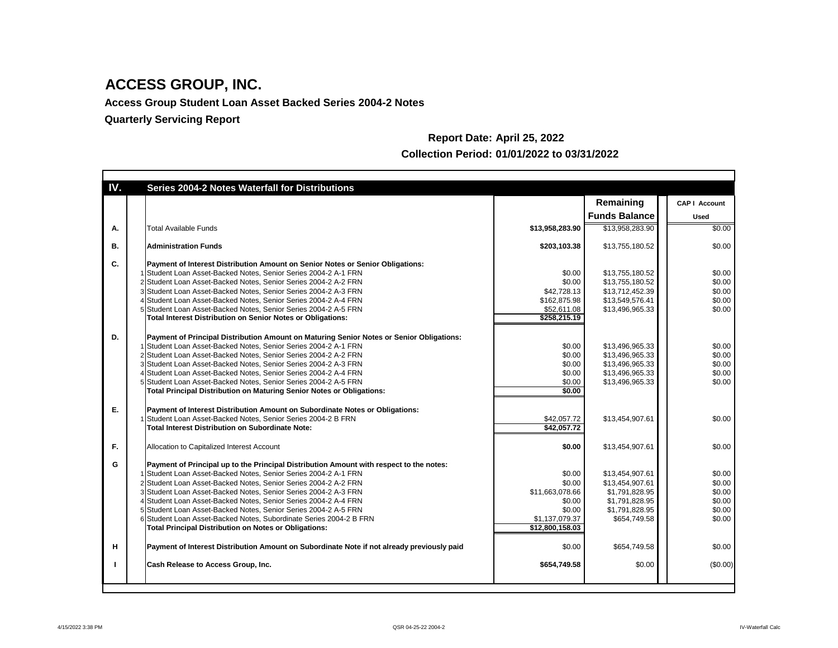**Access Group Student Loan Asset Backed Series 2004-2 Notes**

| IV.       | <b>Series 2004-2 Notes Waterfall for Distributions</b>                                     |                          |                      |                      |
|-----------|--------------------------------------------------------------------------------------------|--------------------------|----------------------|----------------------|
|           |                                                                                            |                          | Remaining            | <b>CAP   Account</b> |
|           |                                                                                            |                          | <b>Funds Balance</b> | <b>Used</b>          |
| Α.        | <b>Total Available Funds</b>                                                               | \$13,958,283.90          | \$13,958,283.90      | \$0.00               |
| <b>B.</b> | <b>Administration Funds</b>                                                                | \$203,103.38             | \$13,755,180.52      | \$0.00               |
| C.        | Payment of Interest Distribution Amount on Senior Notes or Senior Obligations:             |                          |                      |                      |
|           | Student Loan Asset-Backed Notes, Senior Series 2004-2 A-1 FRN                              | \$0.00                   | \$13,755,180.52      | \$0.00               |
|           | 2 Student Loan Asset-Backed Notes, Senior Series 2004-2 A-2 FRN                            | \$0.00                   | \$13,755,180.52      | \$0.00               |
|           | 3 Student Loan Asset-Backed Notes, Senior Series 2004-2 A-3 FRN                            | \$42,728.13              | \$13,712,452.39      | \$0.00               |
|           | 4 Student Loan Asset-Backed Notes, Senior Series 2004-2 A-4 FRN                            | \$162,875.98             | \$13,549,576.41      | \$0.00               |
|           | 5 Student Loan Asset-Backed Notes, Senior Series 2004-2 A-5 FRN                            | \$52,611.08              | \$13,496,965.33      | \$0.00               |
|           | <b>Total Interest Distribution on Senior Notes or Obligations:</b>                         | $\overline{$258,215.19}$ |                      |                      |
| D.        | Payment of Principal Distribution Amount on Maturing Senior Notes or Senior Obligations:   |                          |                      |                      |
|           | Student Loan Asset-Backed Notes, Senior Series 2004-2 A-1 FRN                              | \$0.00                   | \$13,496,965.33      | \$0.00               |
|           | 2 Student Loan Asset-Backed Notes, Senior Series 2004-2 A-2 FRN                            | \$0.00                   | \$13,496,965.33      | \$0.00               |
|           | 3 Student Loan Asset-Backed Notes, Senior Series 2004-2 A-3 FRN                            | \$0.00                   | \$13,496,965.33      | \$0.00               |
|           | 4 Student Loan Asset-Backed Notes, Senior Series 2004-2 A-4 FRN                            | \$0.00                   | \$13,496,965.33      | \$0.00               |
|           | 5 Student Loan Asset-Backed Notes, Senior Series 2004-2 A-5 FRN                            |                          |                      | \$0.00               |
|           |                                                                                            | \$0.00<br>\$0.00         | \$13,496,965.33      |                      |
|           | <b>Total Principal Distribution on Maturing Senior Notes or Obligations:</b>               |                          |                      |                      |
| Ε.        | Payment of Interest Distribution Amount on Subordinate Notes or Obligations:               |                          |                      |                      |
|           | Student Loan Asset-Backed Notes, Senior Series 2004-2 B FRN                                | \$42,057.72              | \$13,454,907.61      | \$0.00               |
|           | <b>Total Interest Distribution on Subordinate Note:</b>                                    | \$42,057.72              |                      |                      |
| F.        | Allocation to Capitalized Interest Account                                                 | \$0.00                   | \$13,454,907.61      | \$0.00               |
| G         | Payment of Principal up to the Principal Distribution Amount with respect to the notes:    |                          |                      |                      |
|           | I Student Loan Asset-Backed Notes, Senior Series 2004-2 A-1 FRN                            | \$0.00                   | \$13,454,907.61      | \$0.00               |
|           | 2 Student Loan Asset-Backed Notes, Senior Series 2004-2 A-2 FRN                            | \$0.00                   | \$13,454,907.61      | \$0.00               |
|           | 3 Student Loan Asset-Backed Notes, Senior Series 2004-2 A-3 FRN                            | \$11,663,078.66          | \$1,791,828.95       | \$0.00               |
|           | 4 Student Loan Asset-Backed Notes, Senior Series 2004-2 A-4 FRN                            | \$0.00                   | \$1,791,828.95       | \$0.00               |
|           | 5 Student Loan Asset-Backed Notes, Senior Series 2004-2 A-5 FRN                            | \$0.00                   | \$1,791,828.95       | \$0.00               |
|           | 6 Student Loan Asset-Backed Notes, Subordinate Series 2004-2 B FRN                         | \$1,137,079.37           | \$654,749.58         | \$0.00               |
|           | <b>Total Principal Distribution on Notes or Obligations:</b>                               | \$12,800,158.03          |                      |                      |
| н         | Payment of Interest Distribution Amount on Subordinate Note if not already previously paid | \$0.00                   | \$654,749.58         | \$0.00               |
|           | <b>Cash Release to Access Group, Inc.</b>                                                  | \$654,749.58             | \$0.00               | (\$0.00)             |
|           |                                                                                            |                          |                      |                      |

# **Report Date: April 25, 2022 Collection Period: 01/01/2022 to 03/31/2022**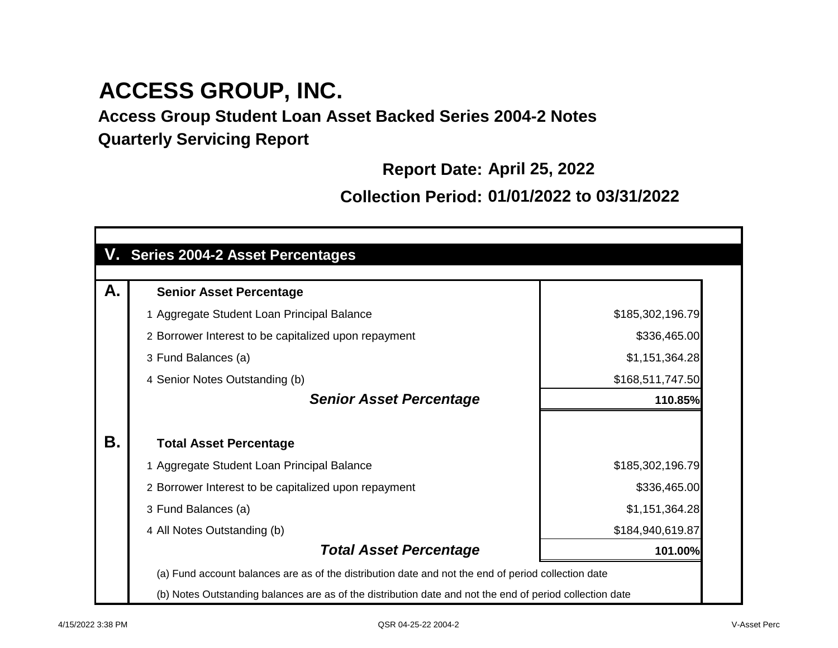**Access Group Student Loan Asset Backed Series 2004-2 Notes Quarterly Servicing Report**

**Report Date: April 25, 2022**

**Collection Period: 01/01/2022 to 03/31/2022**

| V. Series 2004-2 Asset Percentages                                                                       |                  |
|----------------------------------------------------------------------------------------------------------|------------------|
|                                                                                                          |                  |
| А.<br><b>Senior Asset Percentage</b>                                                                     |                  |
| 1 Aggregate Student Loan Principal Balance                                                               | \$185,302,196.79 |
| 2 Borrower Interest to be capitalized upon repayment                                                     | \$336,465.00     |
| 3 Fund Balances (a)                                                                                      | \$1,151,364.28   |
| 4 Senior Notes Outstanding (b)                                                                           | \$168,511,747.50 |
| <b>Senior Asset Percentage</b>                                                                           | 110.85%          |
| Β.<br><b>Total Asset Percentage</b>                                                                      |                  |
| 1 Aggregate Student Loan Principal Balance                                                               | \$185,302,196.79 |
| 2 Borrower Interest to be capitalized upon repayment                                                     | \$336,465.00     |
| 3 Fund Balances (a)                                                                                      | \$1,151,364.28   |
| 4 All Notes Outstanding (b)                                                                              | \$184,940,619.87 |
| <b>Total Asset Percentage</b>                                                                            | 101.00%          |
| (a) Fund account balances are as of the distribution date and not the end of period collection date      |                  |
| (b) Notes Outstanding balances are as of the distribution date and not the end of period collection date |                  |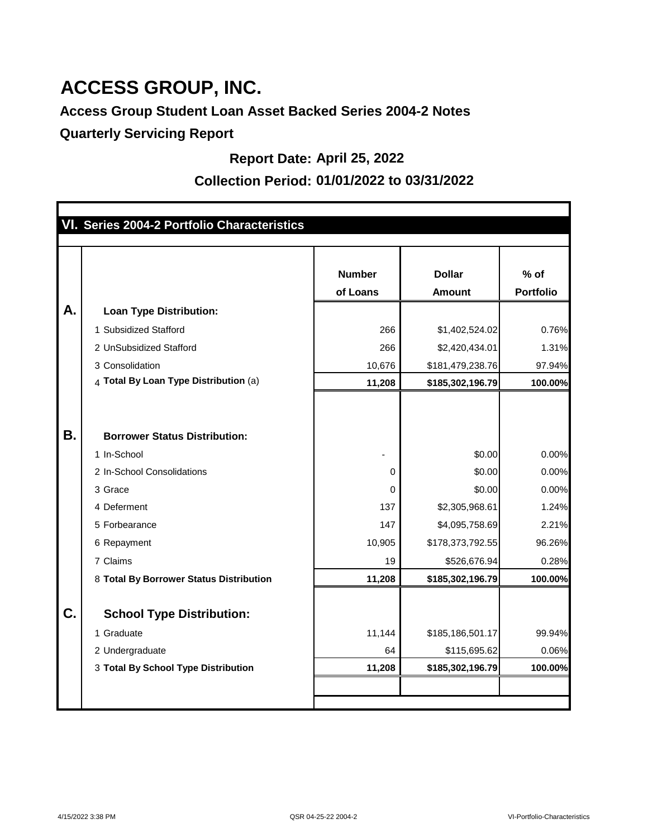# **Access Group Student Loan Asset Backed Series 2004-2 Notes**

**Quarterly Servicing Report**

## **Report Date: April 25, 2022**

## **Collection Period: 01/01/2022 to 03/31/2022**

|    | VI. Series 2004-2 Portfolio Characteristics |                           |                                |                            |
|----|---------------------------------------------|---------------------------|--------------------------------|----------------------------|
|    |                                             |                           |                                |                            |
|    |                                             | <b>Number</b><br>of Loans | <b>Dollar</b><br><b>Amount</b> | $%$ of<br><b>Portfolio</b> |
| А. | <b>Loan Type Distribution:</b>              |                           |                                |                            |
|    | 1 Subsidized Stafford                       | 266                       | \$1,402,524.02                 | 0.76%                      |
|    | 2 UnSubsidized Stafford                     | 266                       | \$2,420,434.01                 | 1.31%                      |
|    | 3 Consolidation                             | 10,676                    | \$181,479,238.76               | 97.94%                     |
|    | 4 Total By Loan Type Distribution (a)       | 11,208                    | \$185,302,196.79               | 100.00%                    |
|    |                                             |                           |                                |                            |
|    |                                             |                           |                                |                            |
| Β. | <b>Borrower Status Distribution:</b>        |                           |                                |                            |
|    | 1 In-School                                 |                           | \$0.00                         | 0.00%                      |
|    | 2 In-School Consolidations                  | 0                         | \$0.00                         | 0.00%                      |
|    | 3 Grace                                     | 0                         | \$0.00                         | 0.00%                      |
|    | 4 Deferment                                 | 137                       | \$2,305,968.61                 | 1.24%                      |
|    | 5 Forbearance                               | 147                       | \$4,095,758.69                 | 2.21%                      |
|    | 6 Repayment                                 | 10,905                    | \$178,373,792.55               | 96.26%                     |
|    | 7 Claims                                    | 19                        | \$526,676.94                   | 0.28%                      |
|    | 8 Total By Borrower Status Distribution     | 11,208                    | \$185,302,196.79               | 100.00%                    |
|    |                                             |                           |                                |                            |
| C. | <b>School Type Distribution:</b>            |                           |                                |                            |
|    | 1 Graduate                                  | 11,144                    | \$185,186,501.17               | 99.94%                     |
|    | 2 Undergraduate                             | 64                        | \$115,695.62                   | 0.06%                      |
|    | 3 Total By School Type Distribution         | 11,208                    | \$185,302,196.79               | 100.00%                    |
|    |                                             |                           |                                |                            |
|    |                                             |                           |                                |                            |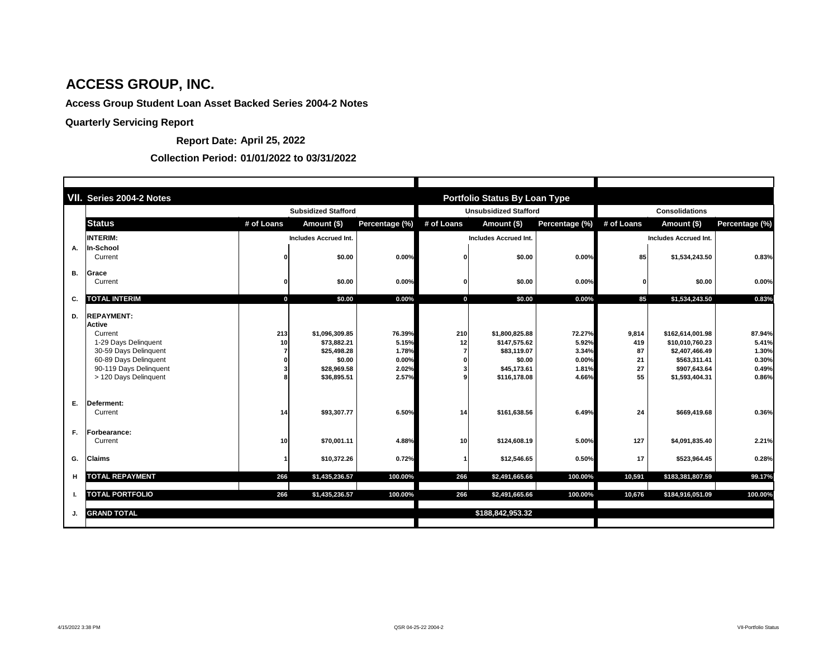|           | VII. Series 2004-2 Notes                                                                                                                                                   |             |                                                                                      |                                                     |                  | <b>Portfolio Status By Loan Type</b>                                                   |                                                     |                                      |                                                                                                         |                                                     |  |
|-----------|----------------------------------------------------------------------------------------------------------------------------------------------------------------------------|-------------|--------------------------------------------------------------------------------------|-----------------------------------------------------|------------------|----------------------------------------------------------------------------------------|-----------------------------------------------------|--------------------------------------|---------------------------------------------------------------------------------------------------------|-----------------------------------------------------|--|
|           | <b>Subsidized Stafford</b>                                                                                                                                                 |             |                                                                                      |                                                     |                  | <b>Unsubsidized Stafford</b>                                                           |                                                     |                                      | <b>Consolidations</b>                                                                                   |                                                     |  |
|           | <b>Status</b>                                                                                                                                                              | # of Loans  | Amount (\$)                                                                          | Percentage (%)                                      | # of Loans       | Amount (\$)                                                                            | Percentage (%)                                      | # of Loans                           | Amount (\$)                                                                                             | Percentage (%)                                      |  |
|           | <b>INTERIM:</b>                                                                                                                                                            |             | <b>Includes Accrued Int.</b>                                                         |                                                     |                  | <b>Includes Accrued Int.</b>                                                           |                                                     |                                      | <b>Includes Accrued Int.</b>                                                                            |                                                     |  |
| Α.        | <b>In-School</b><br>Current                                                                                                                                                |             | \$0.00                                                                               | 0.00%                                               |                  | \$0.00                                                                                 | 0.00%                                               | 85                                   | \$1,534,243.50                                                                                          | 0.83%                                               |  |
| <b>B.</b> | <b>Grace</b><br>Current                                                                                                                                                    |             | \$0.00                                                                               | 0.00%                                               |                  | \$0.00                                                                                 | 0.00%                                               |                                      | \$0.00                                                                                                  | 0.00%                                               |  |
| C.        | <b>TOTAL INTERIM</b>                                                                                                                                                       | $\mathbf 0$ | \$0.00                                                                               | 0.00%                                               | $\boldsymbol{0}$ | \$0.00                                                                                 | 0.00%                                               | 85                                   | \$1,534,243.50                                                                                          | 0.83%                                               |  |
| D.        | <b>REPAYMENT:</b><br><b>Active</b><br>Current<br>1-29 Days Delinquent<br>30-59 Days Delinquent<br>60-89 Days Delinquent<br>90-119 Days Delinquent<br>> 120 Days Delinquent | 213<br>10   | \$1,096,309.85<br>\$73,882.21<br>\$25,498.28<br>\$0.00<br>\$28,969.58<br>\$36,895.51 | 76.39%<br>5.15%<br>1.78%<br>0.00%<br>2.02%<br>2.57% | 210<br>12        | \$1,800,825.88<br>\$147,575.62<br>\$83,119.07<br>\$0.00<br>\$45,173.61<br>\$116,178.08 | 72.27%<br>5.92%<br>3.34%<br>0.00%<br>1.81%<br>4.66% | 9,814<br>419<br>87<br>21<br>27<br>55 | \$162,614,001.98<br>\$10,010,760.23<br>\$2,407,466.49<br>\$563,311.41<br>\$907,643.64<br>\$1,593,404.31 | 87.94%<br>5.41%<br>1.30%<br>0.30%<br>0.49%<br>0.86% |  |
| Ε.        | Deferment:<br>Current                                                                                                                                                      | 14          | \$93,307.77                                                                          | 6.50%                                               | 14               | \$161,638.56                                                                           | 6.49%                                               | 24                                   | \$669,419.68                                                                                            | 0.36%                                               |  |
| F.        | Forbearance:<br>Current                                                                                                                                                    | 10          | \$70,001.11                                                                          | 4.88%                                               | 10               | \$124,608.19                                                                           | 5.00%                                               | 127                                  | \$4,091,835.40                                                                                          | 2.21%                                               |  |
| G.        | <b>Claims</b>                                                                                                                                                              |             | \$10,372.26                                                                          | 0.72%                                               |                  | \$12,546.65                                                                            | 0.50%                                               | 17                                   | \$523,964.45                                                                                            | 0.28%                                               |  |
| Н         | <b>TOTAL REPAYMENT</b>                                                                                                                                                     | 266         | \$1,435,236.57                                                                       | 100.00%                                             | 266              | \$2,491,665.66                                                                         | 100.00%                                             | 10,591                               | \$183,381,807.59                                                                                        | 99.17%                                              |  |
| Л.        | <b>TOTAL PORTFOLIO</b>                                                                                                                                                     | 266         | \$1,435,236.57                                                                       | 100.00%                                             | 266              | \$2,491,665.66                                                                         | 100.00%                                             | 10,676                               | \$184,916,051.09                                                                                        | 100.00%                                             |  |
| J.        | <b>GRAND TOTAL</b>                                                                                                                                                         |             |                                                                                      |                                                     |                  | \$188,842,953.32                                                                       |                                                     |                                      |                                                                                                         |                                                     |  |

## **Report Date: April 25, 2022**

#### **Collection Period: 01/01/2022 to 03/31/2022**

# **ACCESS GROUP, INC.**

# **Access Group Student Loan Asset Backed Series 2004-2 Notes**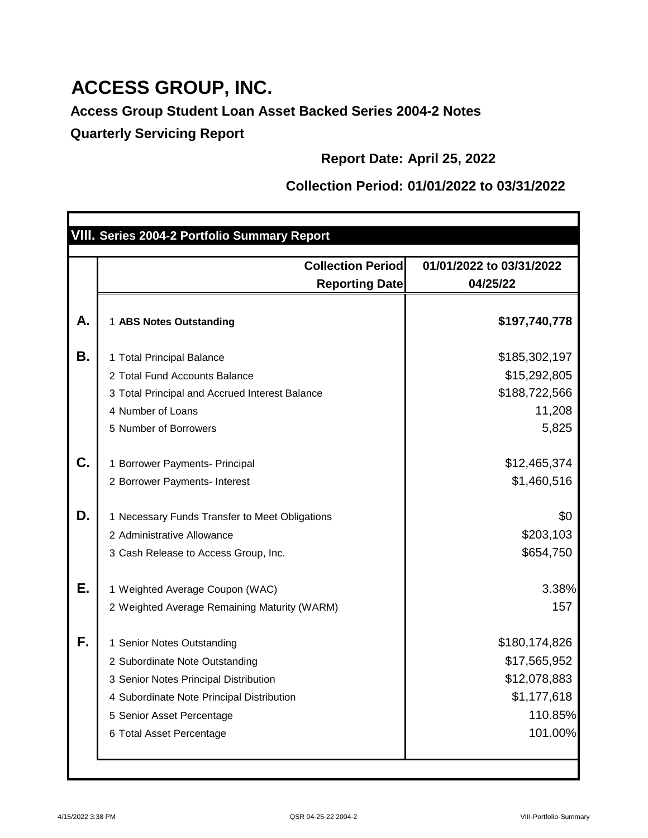**Access Group Student Loan Asset Backed Series 2004-2 Notes Quarterly Servicing Report**

**Report Date: April 25, 2022**

# **Collection Period: 01/01/2022 to 03/31/2022**

|    | VIII. Series 2004-2 Portfolio Summary Report       |                                      |
|----|----------------------------------------------------|--------------------------------------|
|    |                                                    |                                      |
|    | <b>Collection Periodl</b><br><b>Reporting Date</b> | 01/01/2022 to 03/31/2022<br>04/25/22 |
| А. | 1 ABS Notes Outstanding                            | \$197,740,778                        |
| Β. | 1 Total Principal Balance                          | \$185,302,197                        |
|    | 2 Total Fund Accounts Balance                      | \$15,292,805                         |
|    | 3 Total Principal and Accrued Interest Balance     | \$188,722,566                        |
|    | 4 Number of Loans                                  | 11,208                               |
|    | 5 Number of Borrowers                              | 5,825                                |
| C. | 1 Borrower Payments- Principal                     | \$12,465,374                         |
|    | 2 Borrower Payments- Interest                      | \$1,460,516                          |
| D. | 1 Necessary Funds Transfer to Meet Obligations     | \$0                                  |
|    | 2 Administrative Allowance                         | \$203,103                            |
|    | 3 Cash Release to Access Group, Inc.               | \$654,750                            |
| Е. | 1 Weighted Average Coupon (WAC)                    | 3.38%                                |
|    | 2 Weighted Average Remaining Maturity (WARM)       | 157                                  |
| F. | <b>Senior Notes Outstanding</b>                    | \$180,174,826                        |
|    | 2 Subordinate Note Outstanding                     | \$17,565,952                         |
|    | 3 Senior Notes Principal Distribution              | \$12,078,883                         |
|    | 4 Subordinate Note Principal Distribution          | \$1,177,618                          |
|    | 5 Senior Asset Percentage                          | 110.85%                              |
|    | 6 Total Asset Percentage                           | 101.00%                              |
|    |                                                    |                                      |